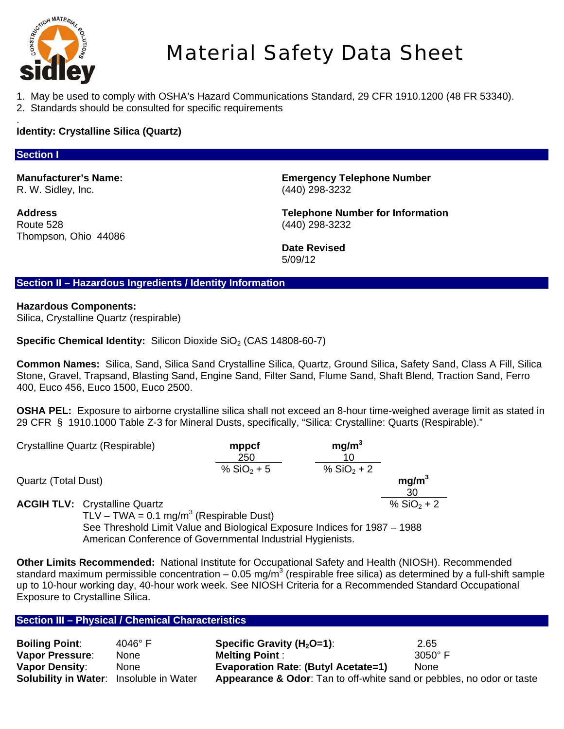

# Material Safety Data Sheet

- 1. May be used to comply with OSHA's Hazard Communications Standard, 29 CFR 1910.1200 (48 FR 53340).
- 2. Standards should be consulted for specific requirements

#### . **Identity: Crystalline Silica (Quartz)**

# **Section I**

R. W. Sidley, Inc. (440) 298-3232

Route 528 (440) 298-3232 Thompson, Ohio 44086

**Manufacturer's Name: Emergency Telephone Number** 

**Address Telephone Number for Information** 

Date Revised<br>5/09/12 5/09/12

# **Section II – Hazardous Ingredients / Identity Information**

## **Hazardous Components:**

Silica, Crystalline Quartz (respirable)

**Specific Chemical Identity:** Silicon Dioxide SiO<sub>2</sub> (CAS 14808-60-7)

**Common Names:** Silica, Sand, Silica Sand Crystalline Silica, Quartz, Ground Silica, Safety Sand, Class A Fill, Silica Stone, Gravel, Trapsand, Blasting Sand, Engine Sand, Filter Sand, Flume Sand, Shaft Blend, Traction Sand, Ferro 400, Euco 456, Euco 1500, Euco 2500.

**OSHA PEL:** Exposure to airborne crystalline silica shall not exceed an 8-hour time-weighed average limit as stated in 29 CFR § 1910.1000 Table Z-3 for Mineral Dusts, specifically, "Silica: Crystalline: Quarts (Respirable)."

| Crystalline Quartz (Respirable) | mppcf<br>250 | mg/m <sup>3</sup> |                         |
|---------------------------------|--------------|-------------------|-------------------------|
|                                 | % $SiO2 + 5$ | % $SiO2 + 2$      |                         |
| Quartz (Total Dust)             |              |                   | mg/m <sup>3</sup><br>30 |

**ACGIH TLV:** Crystalline Quartz  $\%$  SiO<sub>2</sub> + 2

 $TLV - TWA = 0.1 mg/m<sup>3</sup>$  (Respirable Dust) See Threshold Limit Value and Biological Exposure Indices for 1987 – 1988 American Conference of Governmental Industrial Hygienists.

**Other Limits Recommended:** National Institute for Occupational Safety and Health (NIOSH). Recommended standard maximum permissible concentration – 0.05 mg/m<sup>3</sup> (respirable free silica) as determined by a full-shift sample up to 10-hour working day, 40-hour work week. See NIOSH Criteria for a Recommended Standard Occupational Exposure to Crystalline Silica.

## **Section III – Physical / Chemical Characteristics**

| <b>Boiling Point:</b>                          | $4046^\circ$ F | Specific Gravity ( $H_2$ O=1):                                                   | 2.65           |
|------------------------------------------------|----------------|----------------------------------------------------------------------------------|----------------|
| <b>Vapor Pressure:</b>                         | None           | <b>Melting Point:</b>                                                            | $3050^\circ$ F |
| <b>Vapor Density:</b>                          | None           | <b>Evaporation Rate: (Butyl Acetate=1)</b>                                       | <b>None</b>    |
| <b>Solubility in Water:</b> Insoluble in Water |                | <b>Appearance &amp; Odor:</b> Tan to off-white sand or pebbles, no odor or taste |                |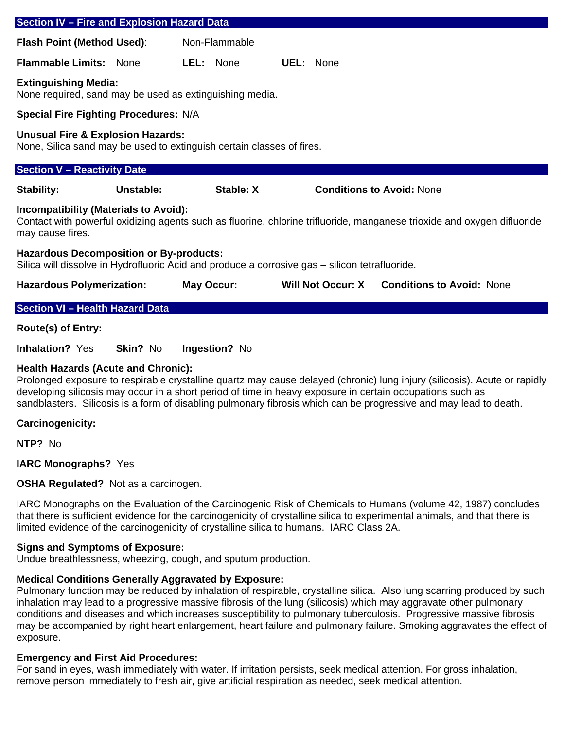| <b>Section IV - Fire and Explosion Hazard Data</b>                                                                                                                                          |           |               |           |           |                                  |                                             |
|---------------------------------------------------------------------------------------------------------------------------------------------------------------------------------------------|-----------|---------------|-----------|-----------|----------------------------------|---------------------------------------------|
| Flash Point (Method Used):                                                                                                                                                                  |           | Non-Flammable |           |           |                                  |                                             |
| <b>Flammable Limits: None</b>                                                                                                                                                               |           | LEL: None     |           | UEL: None |                                  |                                             |
| <b>Extinguishing Media:</b><br>None required, sand may be used as extinguishing media.                                                                                                      |           |               |           |           |                                  |                                             |
| <b>Special Fire Fighting Procedures: N/A</b>                                                                                                                                                |           |               |           |           |                                  |                                             |
| <b>Unusual Fire &amp; Explosion Hazards:</b><br>None, Silica sand may be used to extinguish certain classes of fires.                                                                       |           |               |           |           |                                  |                                             |
| <b>Section V - Reactivity Date</b>                                                                                                                                                          |           |               |           |           |                                  |                                             |
| Stability:                                                                                                                                                                                  | Unstable: |               | Stable: X |           | <b>Conditions to Avoid: None</b> |                                             |
| <b>Incompatibility (Materials to Avoid):</b><br>Contact with powerful oxidizing agents such as fluorine, chlorine trifluoride, manganese trioxide and oxygen difluoride<br>may cause fires. |           |               |           |           |                                  |                                             |
| <b>Hazardous Decomposition or By-products:</b><br>Silica will dissolve in Hydrofluoric Acid and produce a corrosive gas – silicon tetrafluoride.                                            |           |               |           |           |                                  |                                             |
| <b>Hazardous Polymerization:</b>                                                                                                                                                            |           | May Occur:    |           |           |                                  | Will Not Occur: X Conditions to Avoid: None |
| <b>Section VI - Health Hazard Data</b>                                                                                                                                                      |           |               |           |           |                                  |                                             |
| <b>Route(s) of Entry:</b>                                                                                                                                                                   |           |               |           |           |                                  |                                             |
| <b>Inhalation? Yes</b>                                                                                                                                                                      | Skin? No  | Ingestion? No |           |           |                                  |                                             |

## **Health Hazards (Acute and Chronic):**

Prolonged exposure to respirable crystalline quartz may cause delayed (chronic) lung injury (silicosis). Acute or rapidly developing silicosis may occur in a short period of time in heavy exposure in certain occupations such as sandblasters. Silicosis is a form of disabling pulmonary fibrosis which can be progressive and may lead to death.

## **Carcinogenicity:**

**NTP?** No

**IARC Monographs?** Yes

## **OSHA Regulated?** Not as a carcinogen.

IARC Monographs on the Evaluation of the Carcinogenic Risk of Chemicals to Humans (volume 42, 1987) concludes that there is sufficient evidence for the carcinogenicity of crystalline silica to experimental animals, and that there is limited evidence of the carcinogenicity of crystalline silica to humans. IARC Class 2A.

## **Signs and Symptoms of Exposure:**

Undue breathlessness, wheezing, cough, and sputum production.

## **Medical Conditions Generally Aggravated by Exposure:**

Pulmonary function may be reduced by inhalation of respirable, crystalline silica. Also lung scarring produced by such inhalation may lead to a progressive massive fibrosis of the lung (silicosis) which may aggravate other pulmonary conditions and diseases and which increases susceptibility to pulmonary tuberculosis. Progressive massive fibrosis may be accompanied by right heart enlargement, heart failure and pulmonary failure. Smoking aggravates the effect of exposure.

## **Emergency and First Aid Procedures:**

For sand in eyes, wash immediately with water. If irritation persists, seek medical attention. For gross inhalation, remove person immediately to fresh air, give artificial respiration as needed, seek medical attention.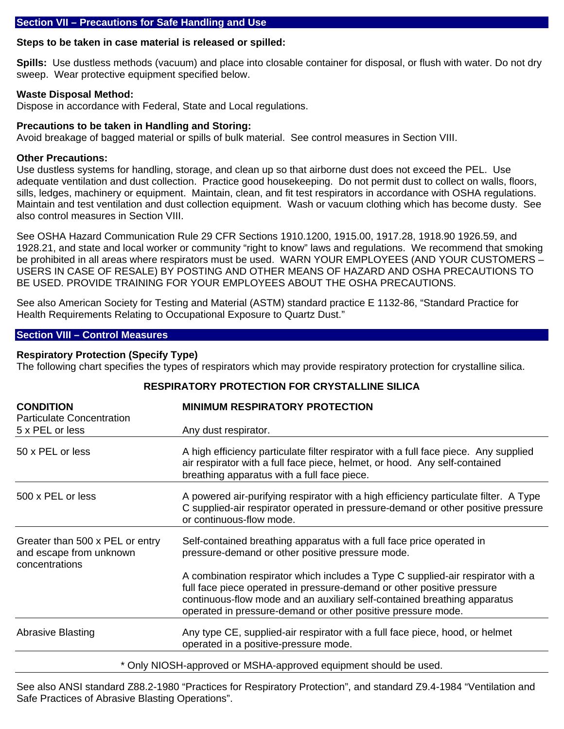## **Section VII – Precautions for Safe Handling and Use**

# **Steps to be taken in case material is released or spilled:**

**Spills:** Use dustless methods (vacuum) and place into closable container for disposal, or flush with water. Do not dry sweep. Wear protective equipment specified below.

# **Waste Disposal Method:**

Dispose in accordance with Federal, State and Local regulations.

# **Precautions to be taken in Handling and Storing:**

Avoid breakage of bagged material or spills of bulk material. See control measures in Section VIII.

# **Other Precautions:**

Use dustless systems for handling, storage, and clean up so that airborne dust does not exceed the PEL. Use adequate ventilation and dust collection. Practice good housekeeping. Do not permit dust to collect on walls, floors, sills, ledges, machinery or equipment. Maintain, clean, and fit test respirators in accordance with OSHA regulations. Maintain and test ventilation and dust collection equipment. Wash or vacuum clothing which has become dusty. See also control measures in Section VIII.

See OSHA Hazard Communication Rule 29 CFR Sections 1910.1200, 1915.00, 1917.28, 1918.90 1926.59, and 1928.21, and state and local worker or community "right to know" laws and regulations. We recommend that smoking be prohibited in all areas where respirators must be used. WARN YOUR EMPLOYEES (AND YOUR CUSTOMERS – USERS IN CASE OF RESALE) BY POSTING AND OTHER MEANS OF HAZARD AND OSHA PRECAUTIONS TO BE USED. PROVIDE TRAINING FOR YOUR EMPLOYEES ABOUT THE OSHA PRECAUTIONS.

See also American Society for Testing and Material (ASTM) standard practice E 1132-86, "Standard Practice for Health Requirements Relating to Occupational Exposure to Quartz Dust."

# **Section VIII – Control Measures**

# **Respiratory Protection (Specify Type)**

The following chart specifies the types of respirators which may provide respiratory protection for crystalline silica.

| <b>CONDITION</b><br><b>Particulate Concentration</b>                         | <b>MINIMUM RESPIRATORY PROTECTION</b>                                                                                                                                                                                                                                                                 |
|------------------------------------------------------------------------------|-------------------------------------------------------------------------------------------------------------------------------------------------------------------------------------------------------------------------------------------------------------------------------------------------------|
| 5 x PEL or less                                                              | Any dust respirator.                                                                                                                                                                                                                                                                                  |
| 50 x PEL or less                                                             | A high efficiency particulate filter respirator with a full face piece. Any supplied<br>air respirator with a full face piece, helmet, or hood. Any self-contained<br>breathing apparatus with a full face piece.                                                                                     |
| 500 x PEL or less                                                            | A powered air-purifying respirator with a high efficiency particulate filter. A Type<br>C supplied-air respirator operated in pressure-demand or other positive pressure<br>or continuous-flow mode.                                                                                                  |
| Greater than 500 x PEL or entry<br>and escape from unknown<br>concentrations | Self-contained breathing apparatus with a full face price operated in<br>pressure-demand or other positive pressure mode.                                                                                                                                                                             |
|                                                                              | A combination respirator which includes a Type C supplied-air respirator with a<br>full face piece operated in pressure-demand or other positive pressure<br>continuous-flow mode and an auxiliary self-contained breathing apparatus<br>operated in pressure-demand or other positive pressure mode. |
| <b>Abrasive Blasting</b>                                                     | Any type CE, supplied-air respirator with a full face piece, hood, or helmet<br>operated in a positive-pressure mode.                                                                                                                                                                                 |
|                                                                              | * Only NIOSH-approved or MSHA-approved equipment should be used.                                                                                                                                                                                                                                      |

## **RESPIRATORY PROTECTION FOR CRYSTALLINE SILICA**

See also ANSI standard Z88.2-1980 "Practices for Respiratory Protection", and standard Z9.4-1984 "Ventilation and Safe Practices of Abrasive Blasting Operations".